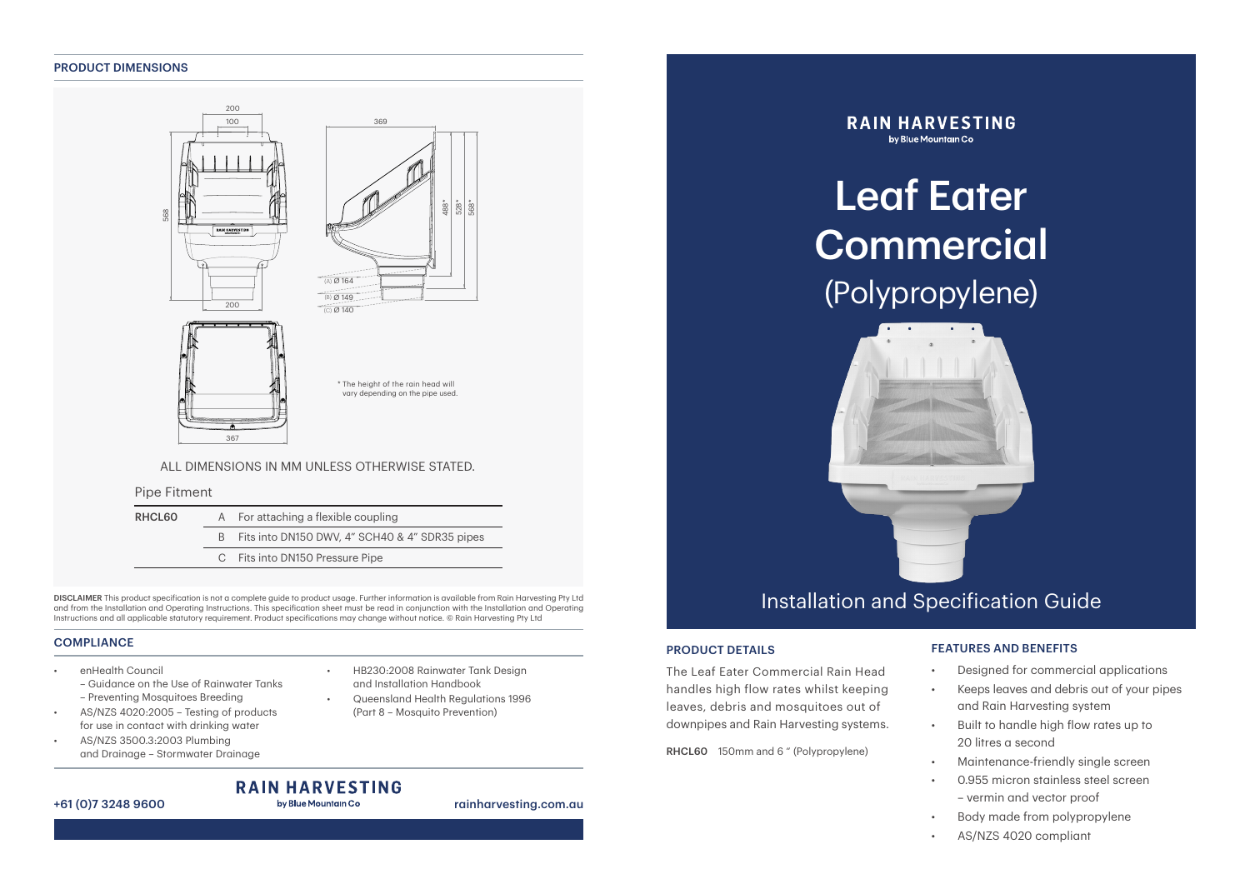#### PRODUCT DIMENSIONS







\* The height of the rain head will vary depending on the pipe used.

#### ALL DIMENSIONS IN MM UNLESS OTHERWISE STATED.

#### Pipe Fitment

568

| RHCL60 | For attaching a flexible coupling              |
|--------|------------------------------------------------|
|        | Fits into DN150 DWV, 4" SCH40 & 4" SDR35 pipes |
|        | C Fits into DN150 Pressure Pipe                |

DISCLAIMER This product specification is not a complete guide to product usage. Further information is available from Rain Harvesting Pty Ltd<br>and from the Installation and Operating Instructions. This specification sheet m and from the Installation and Operating Instructions. This specification sheet must be read in conjunction with the Installation and Operating Instructions and all applicable statutory requirement. Product specifications may change without notice. © Rain Harvesting Pty Ltd

#### **COMPLIANCE**

- enHealth Council
	- Guidance on the Use of Rainwater Tanks – Preventing Mosquitoes Breeding
- AS/NZS 4020:2005 Testing of products for use in contact with drinking water
- AS/NZS 3500.3:2003 Plumbing and Drainage – Stormwater Drainage
- HB230:2008 Rainwater Tank Design and Installation Handbook
- Queensland Health Regulations 1996 (Part 8 – Mosquito Prevention)



# Leaf Eater **Commercial** (Polypropylene)



#### PRODUCT DETAILS

The Leaf Eater Commercial Rain Head handles high flow rates whilst keeping leaves, debris and mosquitoes out of downpipes and Rain Harvesting systems.

RHCL60 150mm and 6 " (Polypropylene)

### FEATURES AND BENEFITS

- Designed for commercial applications
- Keeps leaves and debris out of your pipes and Rain Harvesting system
- Built to handle high flow rates up to 20 litres a second
- Maintenance-friendly single screen
- 0.955 micron stainless steel screen – vermin and vector proof
- Body made from polypropylene
- AS/NZS 4020 compliant

#### **RAIN HARVESTING** +61 (0)7 3248 9600 rainharvesting.com.au